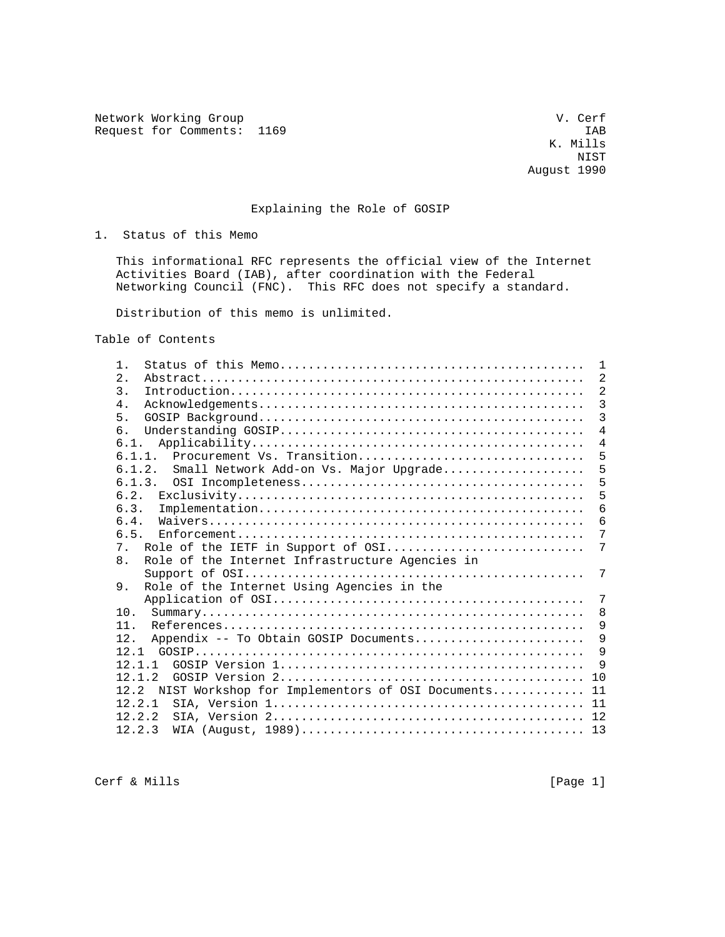Network Working Group van de version van de version van de van de van de van de van de van de van de van de v Request for Comments: 1169

# Explaining the Role of GOSIP

1. Status of this Memo

 This informational RFC represents the official view of the Internet Activities Board (IAB), after coordination with the Federal Networking Council (FNC). This RFC does not specify a standard.

Distribution of this memo is unlimited.

Table of Contents

| 1.                                                                | 1              |
|-------------------------------------------------------------------|----------------|
| $\mathfrak{D}$ .                                                  | $\overline{2}$ |
| $\mathcal{E}$                                                     | $\overline{2}$ |
| $4$ .                                                             | $\overline{3}$ |
| 5.                                                                | 3              |
| რ —                                                               | 4              |
| 6.1.                                                              | $\overline{4}$ |
| Procurement Vs. Transition<br>6.1.1.                              | 5              |
| Small Network Add-on Vs. Major Upgrade<br>6.1.2.                  | 5              |
| 6.1.3.                                                            | 5              |
|                                                                   | 5              |
| 6.3.                                                              | 6              |
| 6.4.                                                              | 6              |
| 6.5.                                                              | 7              |
| Role of the IETF in Support of OSI<br>$7_{\circ}$                 | 7              |
| 8 <sub>1</sub><br>Role of the Internet Infrastructure Agencies in |                |
|                                                                   | 7              |
| Role of the Internet Using Agencies in the<br>9.                  |                |
|                                                                   | 7              |
| 10.                                                               | 8              |
| 11.                                                               | 9              |
| Appendix -- To Obtain GOSIP Documents<br>12.                      | 9              |
|                                                                   | 9              |
| 12 1 1                                                            | -9             |
| 12.1.2                                                            |                |
| 12.2 NIST Workshop for Implementors of OSI Documents 11           |                |
| 12.2.1                                                            |                |
| 12.2.2                                                            |                |
| 12.2.3                                                            |                |

Cerf & Mills [Page 1]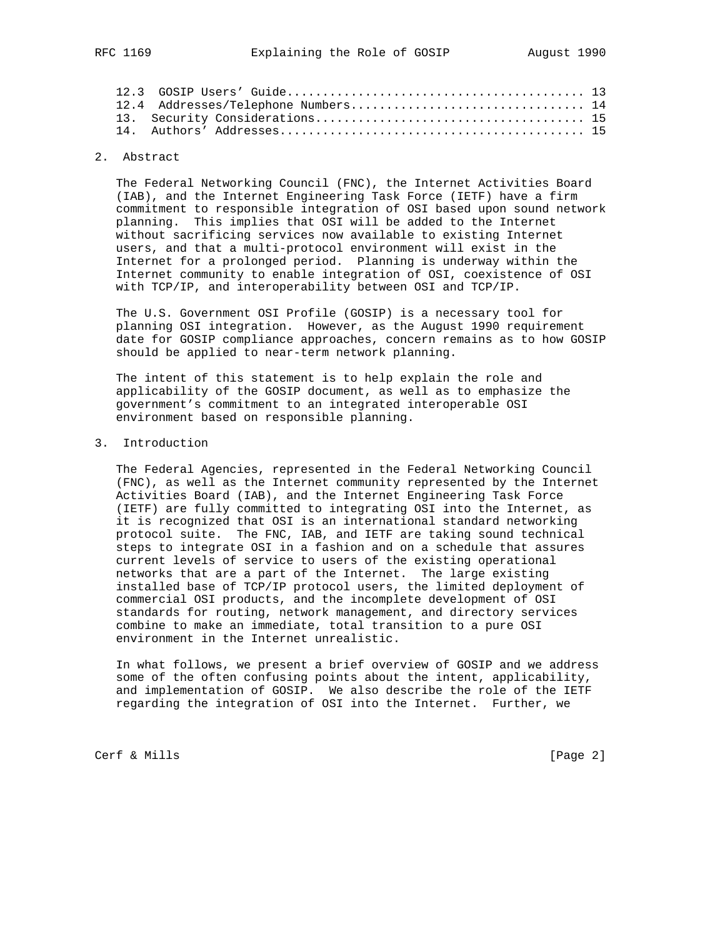|  | 12.4 Addresses/Telephone Numbers 14 |  |
|--|-------------------------------------|--|
|  |                                     |  |
|  |                                     |  |
|  |                                     |  |

## 2. Abstract

 The Federal Networking Council (FNC), the Internet Activities Board (IAB), and the Internet Engineering Task Force (IETF) have a firm commitment to responsible integration of OSI based upon sound network planning. This implies that OSI will be added to the Internet without sacrificing services now available to existing Internet users, and that a multi-protocol environment will exist in the Internet for a prolonged period. Planning is underway within the Internet community to enable integration of OSI, coexistence of OSI with TCP/IP, and interoperability between OSI and TCP/IP.

 The U.S. Government OSI Profile (GOSIP) is a necessary tool for planning OSI integration. However, as the August 1990 requirement date for GOSIP compliance approaches, concern remains as to how GOSIP should be applied to near-term network planning.

 The intent of this statement is to help explain the role and applicability of the GOSIP document, as well as to emphasize the government's commitment to an integrated interoperable OSI environment based on responsible planning.

### 3. Introduction

 The Federal Agencies, represented in the Federal Networking Council (FNC), as well as the Internet community represented by the Internet Activities Board (IAB), and the Internet Engineering Task Force (IETF) are fully committed to integrating OSI into the Internet, as it is recognized that OSI is an international standard networking protocol suite. The FNC, IAB, and IETF are taking sound technical steps to integrate OSI in a fashion and on a schedule that assures current levels of service to users of the existing operational networks that are a part of the Internet. The large existing installed base of TCP/IP protocol users, the limited deployment of commercial OSI products, and the incomplete development of OSI standards for routing, network management, and directory services combine to make an immediate, total transition to a pure OSI environment in the Internet unrealistic.

 In what follows, we present a brief overview of GOSIP and we address some of the often confusing points about the intent, applicability, and implementation of GOSIP. We also describe the role of the IETF regarding the integration of OSI into the Internet. Further, we

Cerf & Mills [Page 2]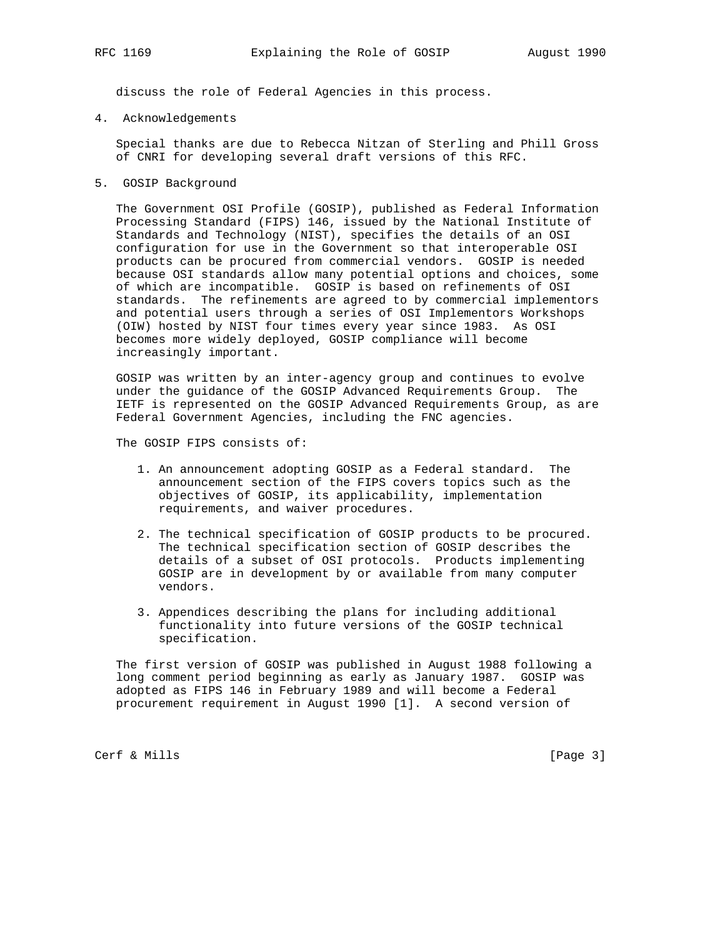discuss the role of Federal Agencies in this process.

4. Acknowledgements

 Special thanks are due to Rebecca Nitzan of Sterling and Phill Gross of CNRI for developing several draft versions of this RFC.

5. GOSIP Background

 The Government OSI Profile (GOSIP), published as Federal Information Processing Standard (FIPS) 146, issued by the National Institute of Standards and Technology (NIST), specifies the details of an OSI configuration for use in the Government so that interoperable OSI products can be procured from commercial vendors. GOSIP is needed because OSI standards allow many potential options and choices, some of which are incompatible. GOSIP is based on refinements of OSI standards. The refinements are agreed to by commercial implementors and potential users through a series of OSI Implementors Workshops (OIW) hosted by NIST four times every year since 1983. As OSI becomes more widely deployed, GOSIP compliance will become increasingly important.

 GOSIP was written by an inter-agency group and continues to evolve under the guidance of the GOSIP Advanced Requirements Group. The IETF is represented on the GOSIP Advanced Requirements Group, as are Federal Government Agencies, including the FNC agencies.

The GOSIP FIPS consists of:

- 1. An announcement adopting GOSIP as a Federal standard. The announcement section of the FIPS covers topics such as the objectives of GOSIP, its applicability, implementation requirements, and waiver procedures.
- 2. The technical specification of GOSIP products to be procured. The technical specification section of GOSIP describes the details of a subset of OSI protocols. Products implementing GOSIP are in development by or available from many computer vendors.
- 3. Appendices describing the plans for including additional functionality into future versions of the GOSIP technical specification.

 The first version of GOSIP was published in August 1988 following a long comment period beginning as early as January 1987. GOSIP was adopted as FIPS 146 in February 1989 and will become a Federal procurement requirement in August 1990 [1]. A second version of

Cerf & Mills [Page 3]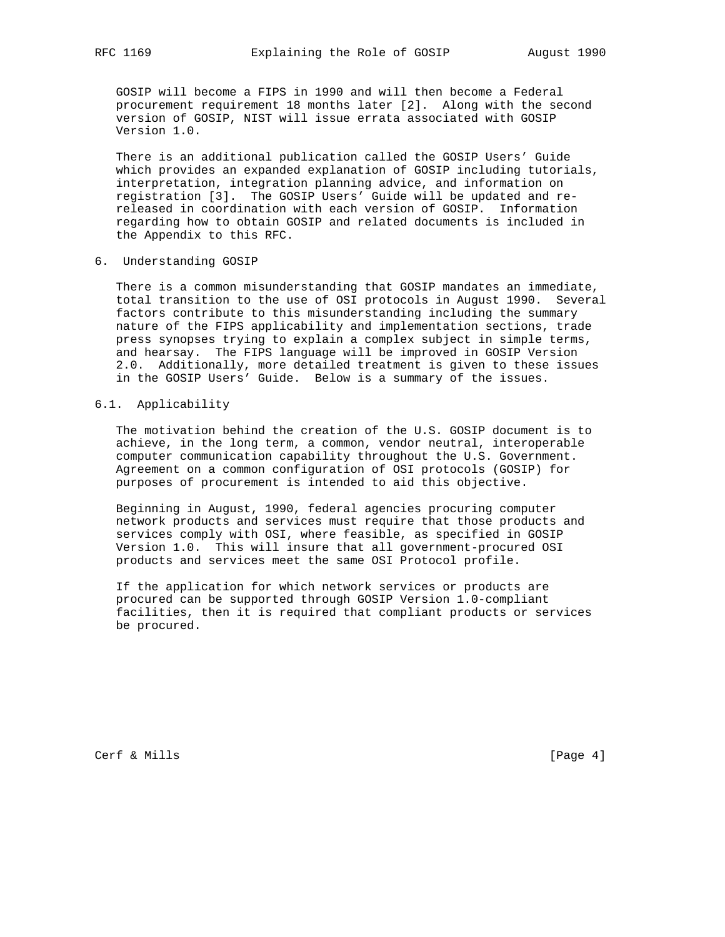GOSIP will become a FIPS in 1990 and will then become a Federal procurement requirement 18 months later [2]. Along with the second version of GOSIP, NIST will issue errata associated with GOSIP Version 1.0.

 There is an additional publication called the GOSIP Users' Guide which provides an expanded explanation of GOSIP including tutorials, interpretation, integration planning advice, and information on registration [3]. The GOSIP Users' Guide will be updated and re released in coordination with each version of GOSIP. Information regarding how to obtain GOSIP and related documents is included in the Appendix to this RFC.

6. Understanding GOSIP

 There is a common misunderstanding that GOSIP mandates an immediate, total transition to the use of OSI protocols in August 1990. Several factors contribute to this misunderstanding including the summary nature of the FIPS applicability and implementation sections, trade press synopses trying to explain a complex subject in simple terms, and hearsay. The FIPS language will be improved in GOSIP Version 2.0. Additionally, more detailed treatment is given to these issues in the GOSIP Users' Guide. Below is a summary of the issues.

6.1. Applicability

 The motivation behind the creation of the U.S. GOSIP document is to achieve, in the long term, a common, vendor neutral, interoperable computer communication capability throughout the U.S. Government. Agreement on a common configuration of OSI protocols (GOSIP) for purposes of procurement is intended to aid this objective.

 Beginning in August, 1990, federal agencies procuring computer network products and services must require that those products and services comply with OSI, where feasible, as specified in GOSIP Version 1.0. This will insure that all government-procured OSI products and services meet the same OSI Protocol profile.

 If the application for which network services or products are procured can be supported through GOSIP Version 1.0-compliant facilities, then it is required that compliant products or services be procured.

Cerf & Mills [Page 4]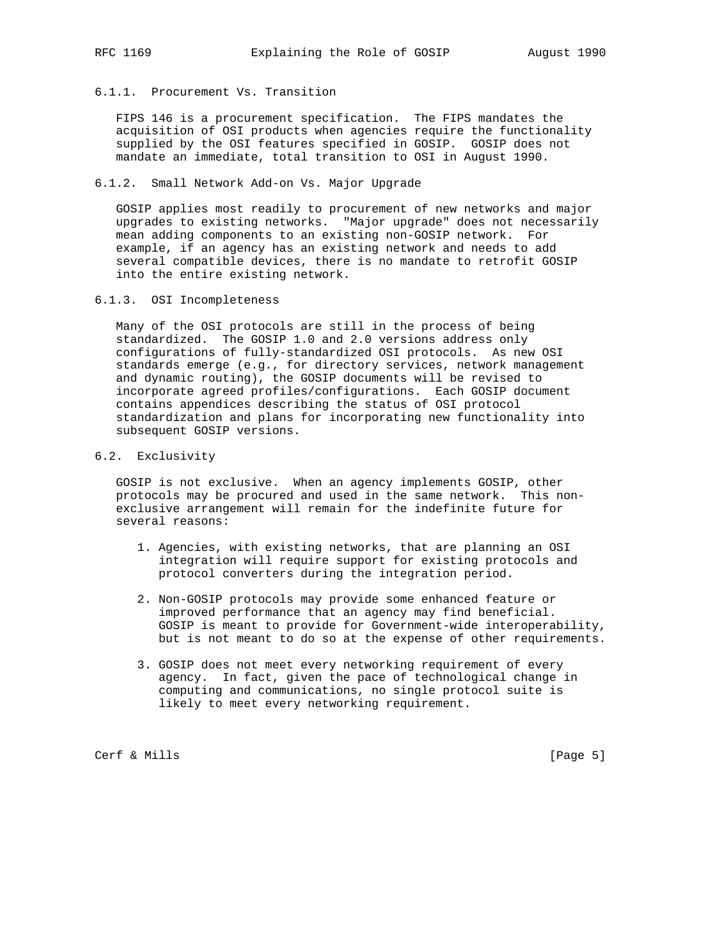# 6.1.1. Procurement Vs. Transition

FIPS 146 is a procurement specification. The FIPS mandates the acquisition of OSI products when agencies require the functionality supplied by the OSI features specified in GOSIP. GOSIP does not mandate an immediate, total transition to OSI in August 1990.

## 6.1.2. Small Network Add-on Vs. Major Upgrade

 GOSIP applies most readily to procurement of new networks and major upgrades to existing networks. "Major upgrade" does not necessarily mean adding components to an existing non-GOSIP network. For example, if an agency has an existing network and needs to add several compatible devices, there is no mandate to retrofit GOSIP into the entire existing network.

### 6.1.3. OSI Incompleteness

 Many of the OSI protocols are still in the process of being standardized. The GOSIP 1.0 and 2.0 versions address only configurations of fully-standardized OSI protocols. As new OSI standards emerge (e.g., for directory services, network management and dynamic routing), the GOSIP documents will be revised to incorporate agreed profiles/configurations. Each GOSIP document contains appendices describing the status of OSI protocol standardization and plans for incorporating new functionality into subsequent GOSIP versions.

# 6.2. Exclusivity

 GOSIP is not exclusive. When an agency implements GOSIP, other protocols may be procured and used in the same network. This non exclusive arrangement will remain for the indefinite future for several reasons:

- 1. Agencies, with existing networks, that are planning an OSI integration will require support for existing protocols and protocol converters during the integration period.
- 2. Non-GOSIP protocols may provide some enhanced feature or improved performance that an agency may find beneficial. GOSIP is meant to provide for Government-wide interoperability, but is not meant to do so at the expense of other requirements.
- 3. GOSIP does not meet every networking requirement of every agency. In fact, given the pace of technological change in computing and communications, no single protocol suite is likely to meet every networking requirement.

Cerf & Mills [Page 5]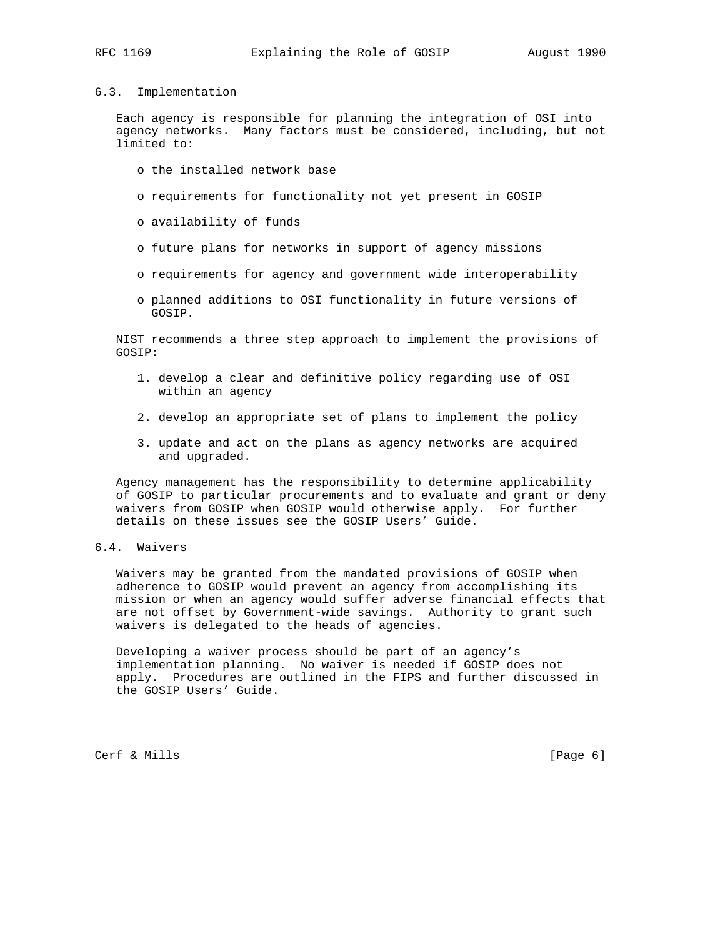## 6.3. Implementation

 Each agency is responsible for planning the integration of OSI into agency networks. Many factors must be considered, including, but not limited to:

- o the installed network base
- o requirements for functionality not yet present in GOSIP
- o availability of funds
- o future plans for networks in support of agency missions
- o requirements for agency and government wide interoperability
- o planned additions to OSI functionality in future versions of GOSIP.

 NIST recommends a three step approach to implement the provisions of GOSIP:

- 1. develop a clear and definitive policy regarding use of OSI within an agency
- 2. develop an appropriate set of plans to implement the policy
- 3. update and act on the plans as agency networks are acquired and upgraded.

 Agency management has the responsibility to determine applicability of GOSIP to particular procurements and to evaluate and grant or deny waivers from GOSIP when GOSIP would otherwise apply. For further details on these issues see the GOSIP Users' Guide.

### 6.4. Waivers

 Waivers may be granted from the mandated provisions of GOSIP when adherence to GOSIP would prevent an agency from accomplishing its mission or when an agency would suffer adverse financial effects that are not offset by Government-wide savings. Authority to grant such waivers is delegated to the heads of agencies.

 Developing a waiver process should be part of an agency's implementation planning. No waiver is needed if GOSIP does not apply. Procedures are outlined in the FIPS and further discussed in the GOSIP Users' Guide.

Cerf & Mills [Page 6]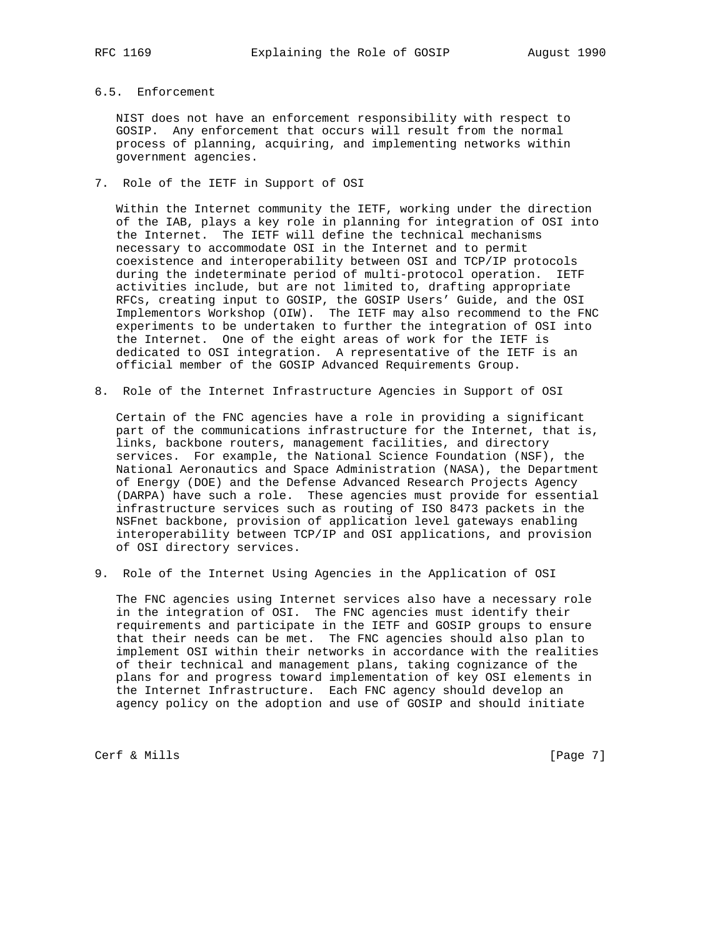## 6.5. Enforcement

 NIST does not have an enforcement responsibility with respect to GOSIP. Any enforcement that occurs will result from the normal process of planning, acquiring, and implementing networks within government agencies.

7. Role of the IETF in Support of OSI

 Within the Internet community the IETF, working under the direction of the IAB, plays a key role in planning for integration of OSI into the Internet. The IETF will define the technical mechanisms necessary to accommodate OSI in the Internet and to permit coexistence and interoperability between OSI and TCP/IP protocols during the indeterminate period of multi-protocol operation. IETF activities include, but are not limited to, drafting appropriate RFCs, creating input to GOSIP, the GOSIP Users' Guide, and the OSI Implementors Workshop (OIW). The IETF may also recommend to the FNC experiments to be undertaken to further the integration of OSI into the Internet. One of the eight areas of work for the IETF is dedicated to OSI integration. A representative of the IETF is an official member of the GOSIP Advanced Requirements Group.

8. Role of the Internet Infrastructure Agencies in Support of OSI

 Certain of the FNC agencies have a role in providing a significant part of the communications infrastructure for the Internet, that is, links, backbone routers, management facilities, and directory services. For example, the National Science Foundation (NSF), the National Aeronautics and Space Administration (NASA), the Department of Energy (DOE) and the Defense Advanced Research Projects Agency (DARPA) have such a role. These agencies must provide for essential infrastructure services such as routing of ISO 8473 packets in the NSFnet backbone, provision of application level gateways enabling interoperability between TCP/IP and OSI applications, and provision of OSI directory services.

9. Role of the Internet Using Agencies in the Application of OSI

 The FNC agencies using Internet services also have a necessary role in the integration of OSI. The FNC agencies must identify their requirements and participate in the IETF and GOSIP groups to ensure that their needs can be met. The FNC agencies should also plan to implement OSI within their networks in accordance with the realities of their technical and management plans, taking cognizance of the plans for and progress toward implementation of key OSI elements in the Internet Infrastructure. Each FNC agency should develop an agency policy on the adoption and use of GOSIP and should initiate

Cerf & Mills [Page 7]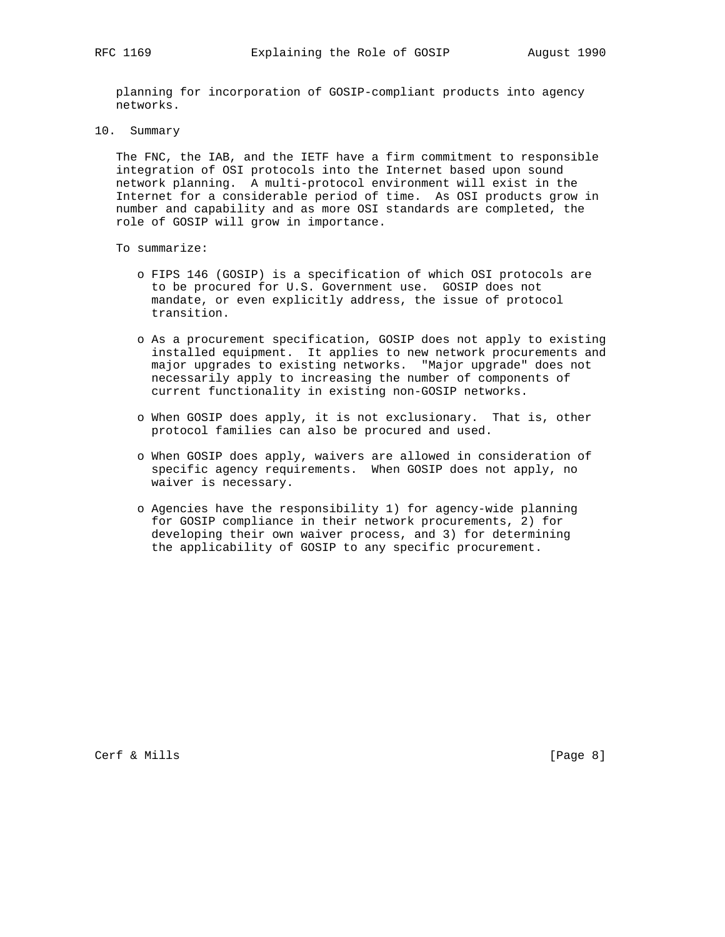planning for incorporation of GOSIP-compliant products into agency networks.

10. Summary

 The FNC, the IAB, and the IETF have a firm commitment to responsible integration of OSI protocols into the Internet based upon sound network planning. A multi-protocol environment will exist in the Internet for a considerable period of time. As OSI products grow in number and capability and as more OSI standards are completed, the role of GOSIP will grow in importance.

- To summarize:
	- o FIPS 146 (GOSIP) is a specification of which OSI protocols are to be procured for U.S. Government use. GOSIP does not mandate, or even explicitly address, the issue of protocol transition.
	- o As a procurement specification, GOSIP does not apply to existing installed equipment. It applies to new network procurements and major upgrades to existing networks. "Major upgrade" does not necessarily apply to increasing the number of components of current functionality in existing non-GOSIP networks.
	- o When GOSIP does apply, it is not exclusionary. That is, other protocol families can also be procured and used.
	- o When GOSIP does apply, waivers are allowed in consideration of specific agency requirements. When GOSIP does not apply, no waiver is necessary.
	- o Agencies have the responsibility 1) for agency-wide planning for GOSIP compliance in their network procurements, 2) for developing their own waiver process, and 3) for determining the applicability of GOSIP to any specific procurement.

Cerf & Mills [Page 8]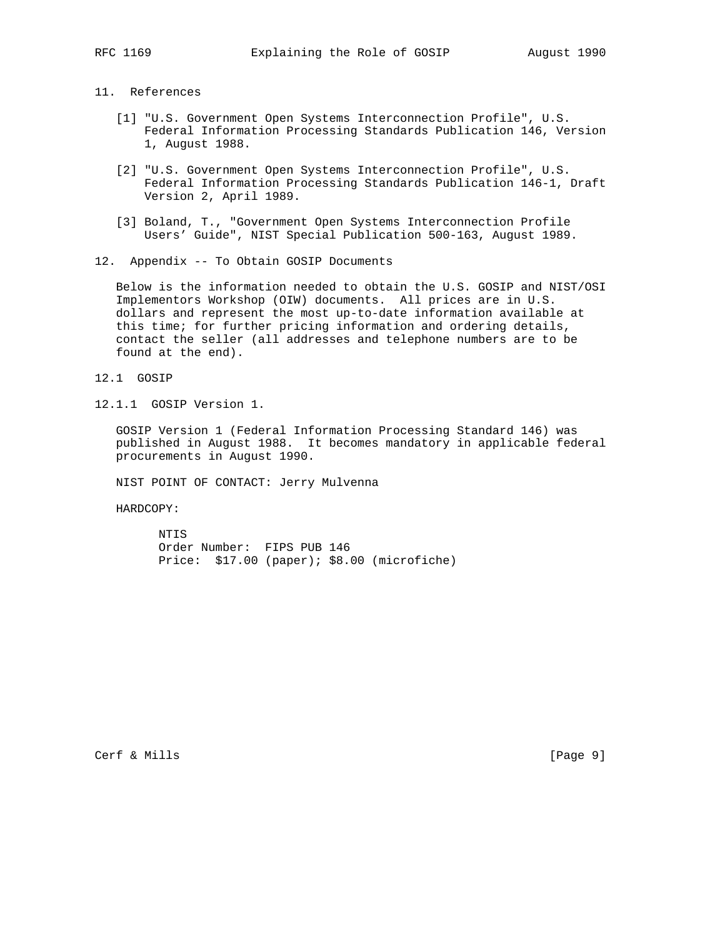# 11. References

- [1] "U.S. Government Open Systems Interconnection Profile", U.S. Federal Information Processing Standards Publication 146, Version 1, August 1988.
- [2] "U.S. Government Open Systems Interconnection Profile", U.S. Federal Information Processing Standards Publication 146-1, Draft Version 2, April 1989.
- [3] Boland, T., "Government Open Systems Interconnection Profile Users' Guide", NIST Special Publication 500-163, August 1989.
- 12. Appendix -- To Obtain GOSIP Documents

 Below is the information needed to obtain the U.S. GOSIP and NIST/OSI Implementors Workshop (OIW) documents. All prices are in U.S. dollars and represent the most up-to-date information available at this time; for further pricing information and ordering details, contact the seller (all addresses and telephone numbers are to be found at the end).

- 12.1 GOSIP
- 12.1.1 GOSIP Version 1.

 GOSIP Version 1 (Federal Information Processing Standard 146) was published in August 1988. It becomes mandatory in applicable federal procurements in August 1990.

NIST POINT OF CONTACT: Jerry Mulvenna

HARDCOPY:

 NTIS Order Number: FIPS PUB 146 Price: \$17.00 (paper); \$8.00 (microfiche)

Cerf & Mills [Page 9]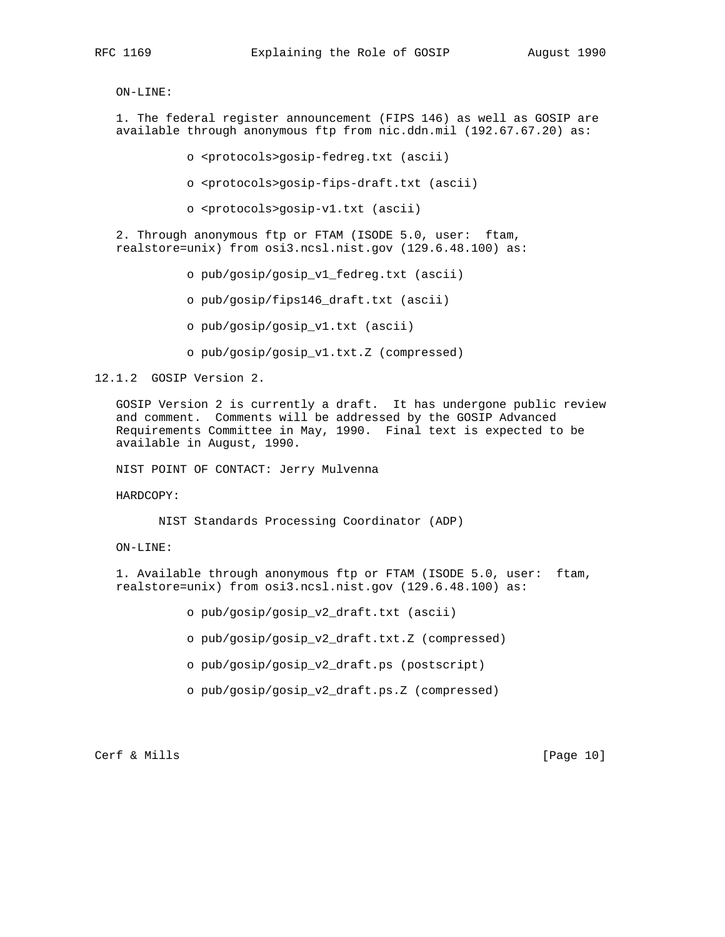ON-LINE:

 1. The federal register announcement (FIPS 146) as well as GOSIP are available through anonymous ftp from nic.ddn.mil (192.67.67.20) as:

o <protocols>gosip-fedreg.txt (ascii)

- o <protocols>gosip-fips-draft.txt (ascii)
- o <protocols>gosip-v1.txt (ascii)

 2. Through anonymous ftp or FTAM (ISODE 5.0, user: ftam, realstore=unix) from osi3.ncsl.nist.gov (129.6.48.100) as:

o pub/gosip/gosip\_v1\_fedreg.txt (ascii)

o pub/gosip/fips146\_draft.txt (ascii)

o pub/gosip/gosip\_v1.txt (ascii)

o pub/gosip/gosip\_v1.txt.Z (compressed)

12.1.2 GOSIP Version 2.

 GOSIP Version 2 is currently a draft. It has undergone public review and comment. Comments will be addressed by the GOSIP Advanced Requirements Committee in May, 1990. Final text is expected to be available in August, 1990.

NIST POINT OF CONTACT: Jerry Mulvenna

HARDCOPY:

NIST Standards Processing Coordinator (ADP)

ON-LINE:

 1. Available through anonymous ftp or FTAM (ISODE 5.0, user: ftam, realstore=unix) from osi3.ncsl.nist.gov (129.6.48.100) as:

o pub/gosip/gosip\_v2\_draft.txt (ascii)

o pub/gosip/gosip\_v2\_draft.txt.Z (compressed)

o pub/gosip/gosip\_v2\_draft.ps (postscript)

o pub/gosip/gosip\_v2\_draft.ps.Z (compressed)

Cerf & Mills [Page 10]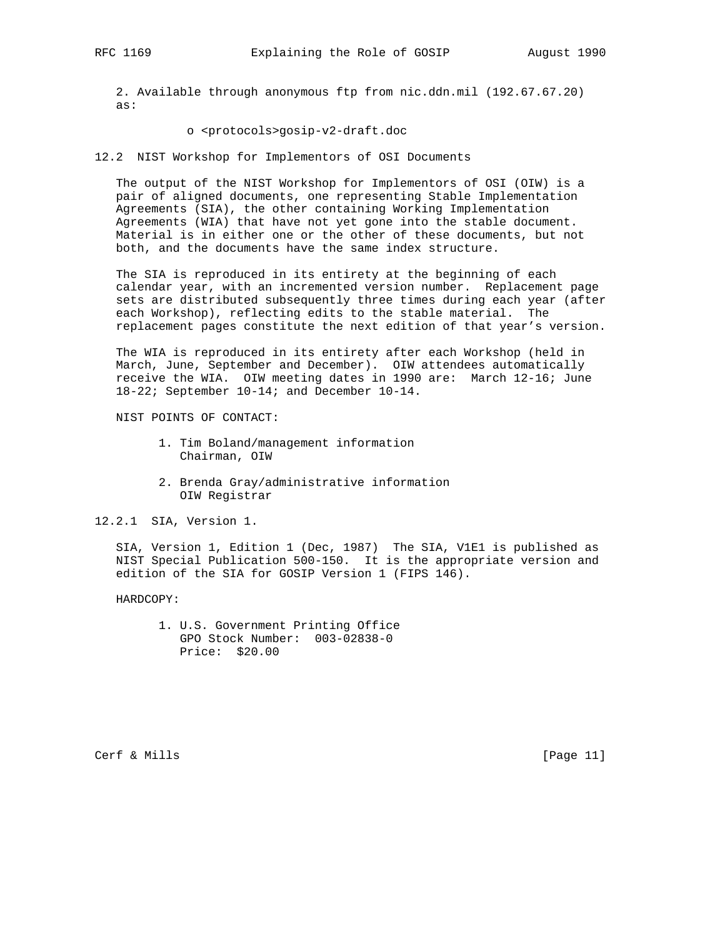2. Available through anonymous ftp from nic.ddn.mil (192.67.67.20) as:

### o <protocols>gosip-v2-draft.doc

12.2 NIST Workshop for Implementors of OSI Documents

 The output of the NIST Workshop for Implementors of OSI (OIW) is a pair of aligned documents, one representing Stable Implementation Agreements (SIA), the other containing Working Implementation Agreements (WIA) that have not yet gone into the stable document. Material is in either one or the other of these documents, but not both, and the documents have the same index structure.

 The SIA is reproduced in its entirety at the beginning of each calendar year, with an incremented version number. Replacement page sets are distributed subsequently three times during each year (after each Workshop), reflecting edits to the stable material. The replacement pages constitute the next edition of that year's version.

 The WIA is reproduced in its entirety after each Workshop (held in March, June, September and December). OIW attendees automatically receive the WIA. OIW meeting dates in 1990 are: March 12-16; June 18-22; September 10-14; and December 10-14.

NIST POINTS OF CONTACT:

- 1. Tim Boland/management information Chairman, OIW
- 2. Brenda Gray/administrative information OIW Registrar

12.2.1 SIA, Version 1.

 SIA, Version 1, Edition 1 (Dec, 1987) The SIA, V1E1 is published as NIST Special Publication 500-150. It is the appropriate version and edition of the SIA for GOSIP Version 1 (FIPS 146).

HARDCOPY:

 1. U.S. Government Printing Office GPO Stock Number: 003-02838-0 Price: \$20.00

Cerf & Mills [Page 11]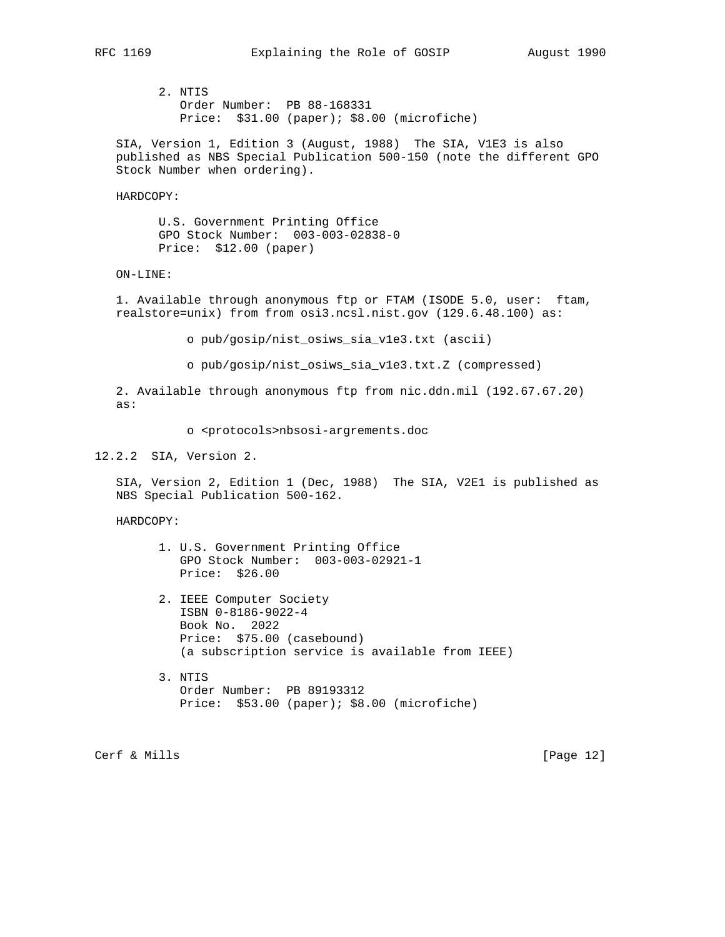2. NTIS Order Number: PB 88-168331 Price: \$31.00 (paper); \$8.00 (microfiche)

 SIA, Version 1, Edition 3 (August, 1988) The SIA, V1E3 is also published as NBS Special Publication 500-150 (note the different GPO Stock Number when ordering).

HARDCOPY:

 U.S. Government Printing Office GPO Stock Number: 003-003-02838-0 Price: \$12.00 (paper)

ON-LINE:

 1. Available through anonymous ftp or FTAM (ISODE 5.0, user: ftam, realstore=unix) from from osi3.ncsl.nist.gov (129.6.48.100) as:

o pub/gosip/nist\_osiws\_sia\_v1e3.txt (ascii)

o pub/gosip/nist\_osiws\_sia\_v1e3.txt.Z (compressed)

 2. Available through anonymous ftp from nic.ddn.mil (192.67.67.20) as:

o <protocols>nbsosi-argrements.doc

12.2.2 SIA, Version 2.

 SIA, Version 2, Edition 1 (Dec, 1988) The SIA, V2E1 is published as NBS Special Publication 500-162.

HARDCOPY:

- 1. U.S. Government Printing Office GPO Stock Number: 003-003-02921-1 Price: \$26.00
- 2. IEEE Computer Society ISBN 0-8186-9022-4 Book No. 2022 Price: \$75.00 (casebound) (a subscription service is available from IEEE)
- 3. NTIS Order Number: PB 89193312 Price: \$53.00 (paper); \$8.00 (microfiche)

Cerf & Mills [Page 12]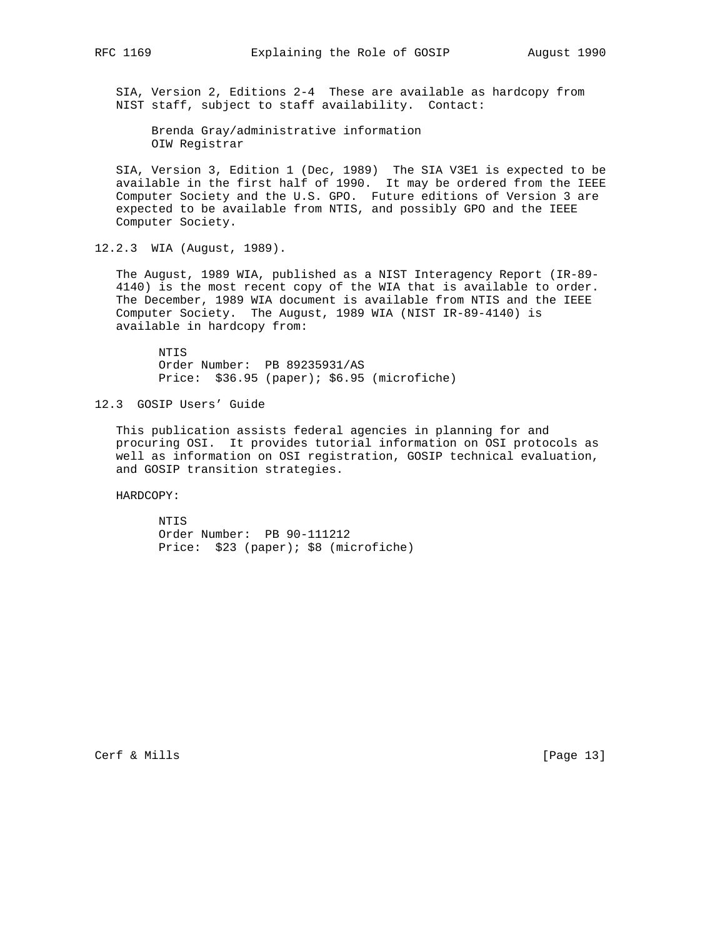SIA, Version 2, Editions 2-4 These are available as hardcopy from NIST staff, subject to staff availability. Contact:

 Brenda Gray/administrative information OIW Registrar

 SIA, Version 3, Edition 1 (Dec, 1989) The SIA V3E1 is expected to be available in the first half of 1990. It may be ordered from the IEEE Computer Society and the U.S. GPO. Future editions of Version 3 are expected to be available from NTIS, and possibly GPO and the IEEE Computer Society.

12.2.3 WIA (August, 1989).

 The August, 1989 WIA, published as a NIST Interagency Report (IR-89- 4140) is the most recent copy of the WIA that is available to order. The December, 1989 WIA document is available from NTIS and the IEEE Computer Society. The August, 1989 WIA (NIST IR-89-4140) is available in hardcopy from:

 NTIS Order Number: PB 89235931/AS Price: \$36.95 (paper); \$6.95 (microfiche)

12.3 GOSIP Users' Guide

 This publication assists federal agencies in planning for and procuring OSI. It provides tutorial information on OSI protocols as well as information on OSI registration, GOSIP technical evaluation, and GOSIP transition strategies.

HARDCOPY:

 NTIS Order Number: PB 90-111212 Price: \$23 (paper); \$8 (microfiche)

Cerf & Mills [Page 13]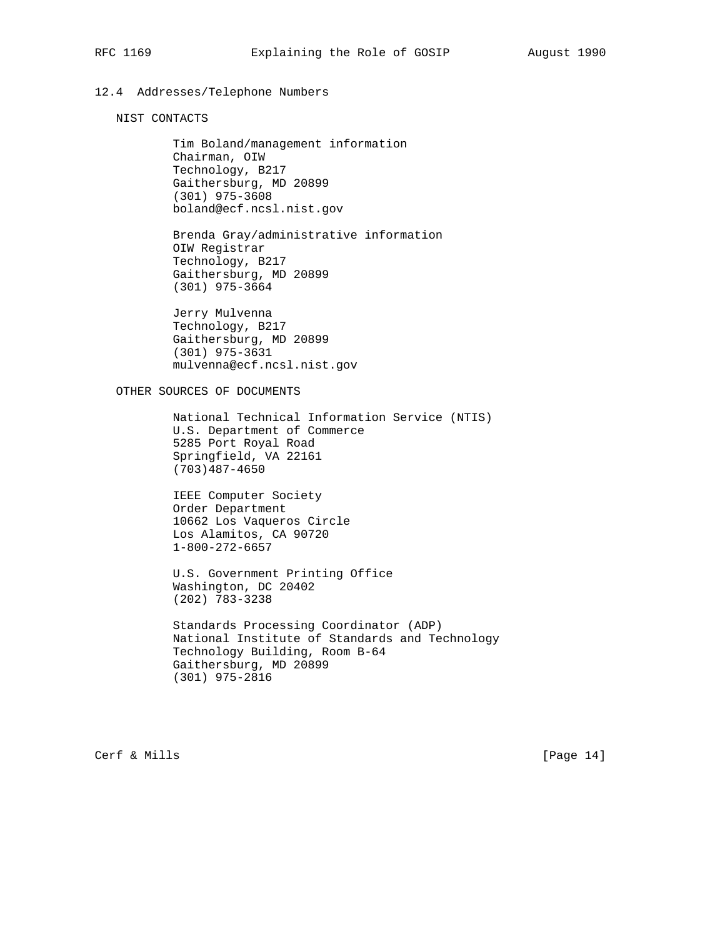# 12.4 Addresses/Telephone Numbers

NIST CONTACTS

 Tim Boland/management information Chairman, OIW Technology, B217 Gaithersburg, MD 20899 (301) 975-3608 boland@ecf.ncsl.nist.gov

 Brenda Gray/administrative information OIW Registrar Technology, B217 Gaithersburg, MD 20899 (301) 975-3664

 Jerry Mulvenna Technology, B217 Gaithersburg, MD 20899 (301) 975-3631 mulvenna@ecf.ncsl.nist.gov

OTHER SOURCES OF DOCUMENTS

 National Technical Information Service (NTIS) U.S. Department of Commerce 5285 Port Royal Road Springfield, VA 22161 (703)487-4650

 IEEE Computer Society Order Department 10662 Los Vaqueros Circle Los Alamitos, CA 90720 1-800-272-6657

 U.S. Government Printing Office Washington, DC 20402 (202) 783-3238

 Standards Processing Coordinator (ADP) National Institute of Standards and Technology Technology Building, Room B-64 Gaithersburg, MD 20899 (301) 975-2816

Cerf & Mills [Page 14]